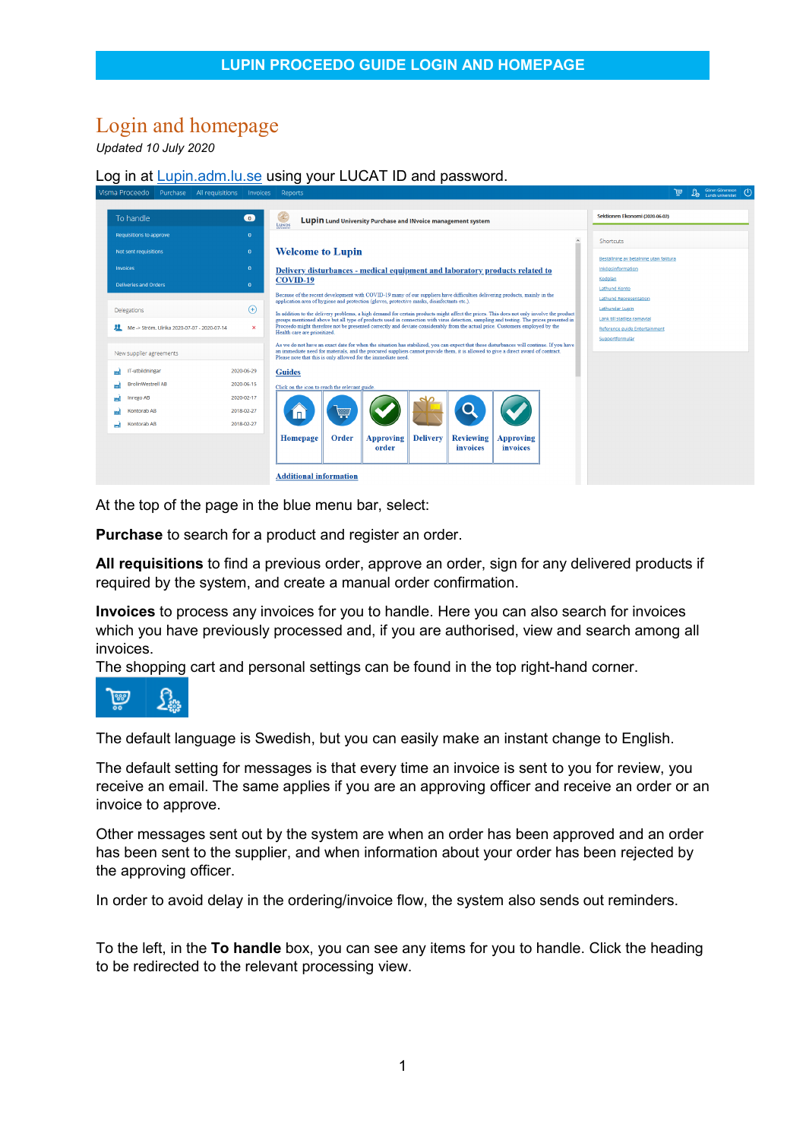## Login and homepage

*Updated 10 July 2020*

## Log in at **[Lupin.adm.lu.se](http://lupin.adm.lu.se/)** using your LUCAT ID and password.



At the top of the page in the blue menu bar, select:

**Purchase** to search for a product and register an order.

**All requisitions** to find a previous order, approve an order, sign for any delivered products if required by the system, and create a manual order confirmation.

**Invoices** to process any invoices for you to handle. Here you can also search for invoices which you have previously processed and, if you are authorised, view and search among all invoices.

The shopping cart and personal settings can be found in the top right-hand corner.



The default language is Swedish, but you can easily make an instant change to English.

The default setting for messages is that every time an invoice is sent to you for review, you receive an email. The same applies if you are an approving officer and receive an order or an invoice to approve.

Other messages sent out by the system are when an order has been approved and an order has been sent to the supplier, and when information about your order has been rejected by the approving officer.

In order to avoid delay in the ordering/invoice flow, the system also sends out reminders.

To the left, in the **To handle** box, you can see any items for you to handle. Click the heading to be redirected to the relevant processing view.